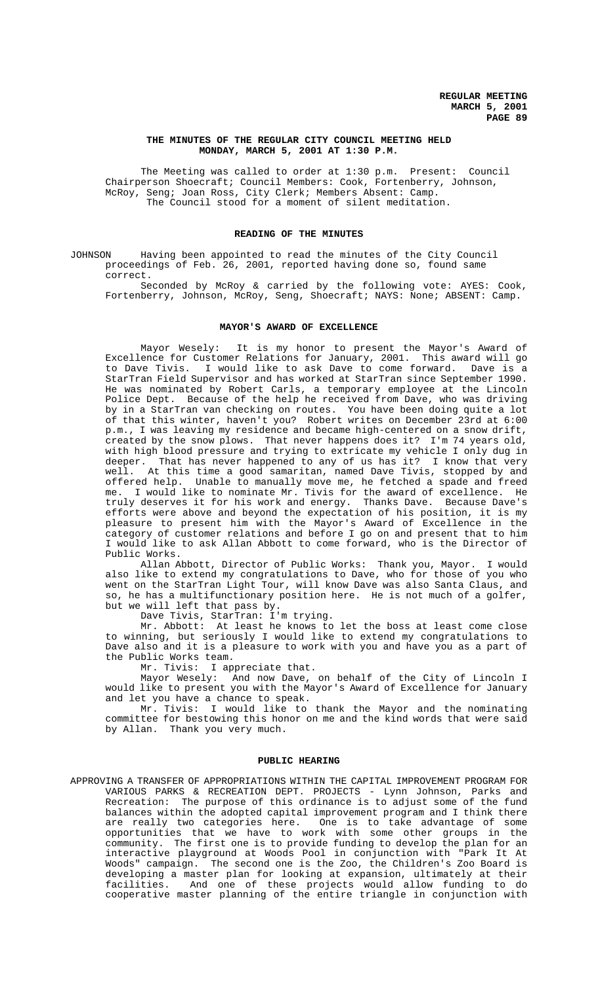# **THE MINUTES OF THE REGULAR CITY COUNCIL MEETING HELD MONDAY, MARCH 5, 2001 AT 1:30 P.M.**

The Meeting was called to order at 1:30 p.m. Present: Council Chairperson Shoecraft; Council Members: Cook, Fortenberry, Johnson, McRoy, Seng; Joan Ross, City Clerk; Members Absent: Camp. The Council stood for a moment of silent meditation.

# **READING OF THE MINUTES**

JOHNSON Having been appointed to read the minutes of the City Council proceedings of Feb. 26, 2001, reported having done so, found same correct.

Seconded by McRoy & carried by the following vote: AYES: Cook, Fortenberry, Johnson, McRoy, Seng, Shoecraft; NAYS: None; ABSENT: Camp.

#### **MAYOR'S AWARD OF EXCELLENCE**

Mayor Wesely: It is my honor to present the Mayor's Award of Excellence for Customer Relations for January, 2001. This award will go to Dave Tivis. I would like to ask Dave to come forward. Dave is a StarTran Field Supervisor and has worked at StarTran since September 1990. He was nominated by Robert Carls, a temporary employee at the Lincoln Police Dept. Because of the help he received from Dave, who was driving by in a StarTran van checking on routes. You have been doing quite a lot of that this winter, haven't you? Robert writes on December 23rd at 6:00 p.m., I was leaving my residence and became high-centered on a snow drift, created by the snow plows. That never happens does it? I'm 74 years old, with high blood pressure and trying to extricate my vehicle I only dug in deeper. That has never happened to any of us has it? I know that very well. At this time a good samaritan, named Dave Tivis, stopped by and offered help. Unable to manually move me, he fetched a spade and freed me. I would like to nominate Mr. Tivis for the award of excellence. He truly deserves it for his work and energy. Thanks Dave. Because Dave's efforts were above and beyond the expectation of his position, it is my pleasure to present him with the Mayor's Award of Excellence in the category of customer relations and before I go on and present that to him I would like to ask Allan Abbott to come forward, who is the Director of Public Works.

Allan Abbott, Director of Public Works: Thank you, Mayor. I would also like to extend my congratulations to Dave, who for those of you who went on the StarTran Light Tour, will know Dave was also Santa Claus, and so, he has a multifunctionary position here. He is not much of a golfer, but we will left that pass by.

Dave Tivis, StarTran: I'm trying.

Mr. Abbott: At least he knows to let the boss at least come close to winning, but seriously I would like to extend my congratulations to Dave also and it is a pleasure to work with you and have you as a part of the Public Works team.

Mr. Tivis: I appreciate that.

Mayor Wesely: And now Dave, on behalf of the City of Lincoln I would like to present you with the Mayor's Award of Excellence for January and let you have a chance to speak.

Mr. Tivis: I would like to thank the Mayor and the nominating committee for bestowing this honor on me and the kind words that were said by Allan. Thank you very much.

# **PUBLIC HEARING**

APPROVING A TRANSFER OF APPROPRIATIONS WITHIN THE CAPITAL IMPROVEMENT PROGRAM FOR VARIOUS PARKS & RECREATION DEPT. PROJECTS - Lynn Johnson, Parks and Recreation: The purpose of this ordinance is to adjust some of the fund balances within the adopted capital improvement program and I think there are really two categories here. One is to take advantage of some opportunities that we have to work with some other groups in the community. The first one is to provide funding to develop the plan for an interactive playground at Woods Pool in conjunction with "Park It At Woods" campaign. The second one is the Zoo, the Children's Zoo Board is developing a master plan for looking at expansion, ultimately at their facilities. And one of these projects would allow funding to do cooperative master planning of the entire triangle in conjunction with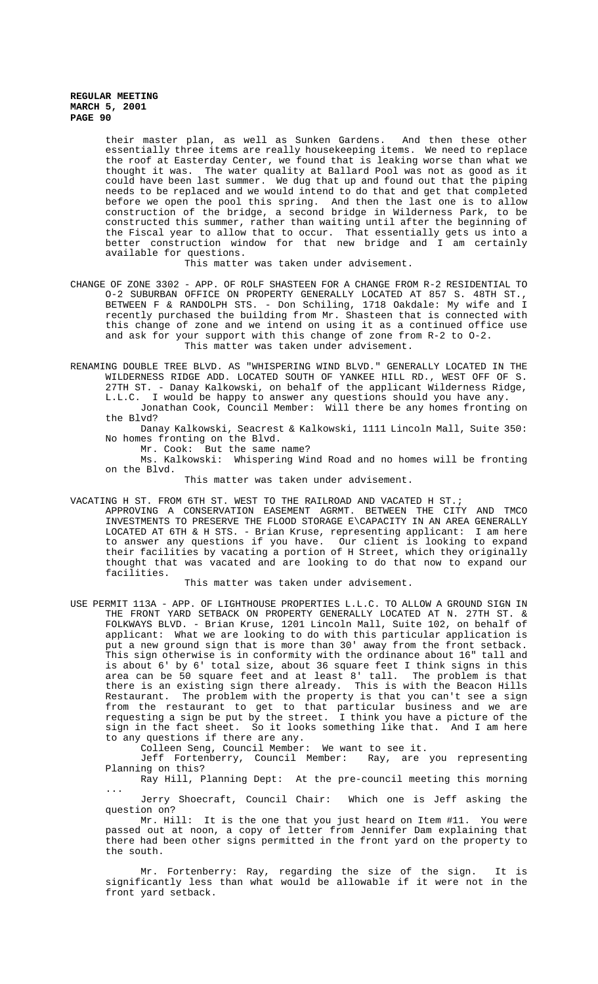their master plan, as well as Sunken Gardens. And then these other essentially three items are really housekeeping items. We need to replace the roof at Easterday Center, we found that is leaking worse than what we thought it was. The water quality at Ballard Pool was not as good as it could have been last summer. We dug that up and found out that the piping needs to be replaced and we would intend to do that and get that completed before we open the pool this spring. And then the last one is to allow construction of the bridge, a second bridge in Wilderness Park, to be constructed this summer, rather than waiting until after the beginning of the Fiscal year to allow that to occur. That essentially gets us into a better construction window for that new bridge and I am certainly available for questions.

This matter was taken under advisement.

- CHANGE OF ZONE 3302 APP. OF ROLF SHASTEEN FOR A CHANGE FROM R-2 RESIDENTIAL TO O-2 SUBURBAN OFFICE ON PROPERTY GENERALLY LOCATED AT 857 S. 48TH ST., BETWEEN F & RANDOLPH STS. - Don Schiling, 1718 Oakdale: My wife and I recently purchased the building from Mr. Shasteen that is connected with this change of zone and we intend on using it as a continued office use and ask for your support with this change of zone from R-2 to O-2. This matter was taken under advisement.
- RENAMING DOUBLE TREE BLVD. AS "WHISPERING WIND BLVD." GENERALLY LOCATED IN THE WILDERNESS RIDGE ADD. LOCATED SOUTH OF YANKEE HILL RD., WEST OFF OF S. 27TH ST. - Danay Kalkowski, on behalf of the applicant Wilderness Ridge, L.L.C. I would be happy to answer any questions should you have any. Jonathan Cook, Council Member: Will there be any homes fronting on the Blvd?
	- Danay Kalkowski, Seacrest & Kalkowski, 1111 Lincoln Mall, Suite 350: No homes fronting on the Blvd.
		- Mr. Cook: But the same name?
	- Ms. Kalkowski: Whispering Wind Road and no homes will be fronting on the Blvd.

This matter was taken under advisement.

- VACATING H ST. FROM 6TH ST. WEST TO THE RAILROAD AND VACATED H ST.;
	- APPROVING A CONSERVATION EASEMENT AGRMT. BETWEEN THE CITY AND TMCO INVESTMENTS TO PRESERVE THE FLOOD STORAGE E\CAPACITY IN AN AREA GENERALLY LOCATED AT 6TH & H STS. - Brian Kruse, representing applicant: I am here to answer any questions if you have. Our client is looking to expand their facilities by vacating a portion of H Street, which they originally thought that was vacated and are looking to do that now to expand our facilities.

This matter was taken under advisement.

USE PERMIT 113A - APP. OF LIGHTHOUSE PROPERTIES L.L.C. TO ALLOW A GROUND SIGN IN THE FRONT YARD SETBACK ON PROPERTY GENERALLY LOCATED AT N. 27TH ST. & FOLKWAYS BLVD. - Brian Kruse, 1201 Lincoln Mall, Suite 102, on behalf of applicant: What we are looking to do with this particular application is put a new ground sign that is more than 30' away from the front setback. This sign otherwise is in conformity with the ordinance about 16" tall and is about 6' by 6' total size, about 36 square feet I think signs in this area can be 50 square feet and at least 8' tall. The problem is that there is an existing sign there already. This is with the Beacon Hills Restaurant. The problem with the property is that you can't see a sign from the restaurant to get to that particular business and we are requesting a sign be put by the street. I think you have a picture of the sign in the fact sheet. So it looks something like that. And I am here to any questions if there are any.

Colleen Seng, Council Member: We want to see it.

Jeff Fortenberry, Council Member: Ray, are you representing Planning on this?

Ray Hill, Planning Dept: At the pre-council meeting this morning ...

Jerry Shoecraft, Council Chair: Which one is Jeff asking the question on?

Mr. Hill: It is the one that you just heard on Item #11. You were passed out at noon, a copy of letter from Jennifer Dam explaining that there had been other signs permitted in the front yard on the property to the south.

Mr. Fortenberry: Ray, regarding the size of the sign. It is significantly less than what would be allowable if it were not in the front yard setback.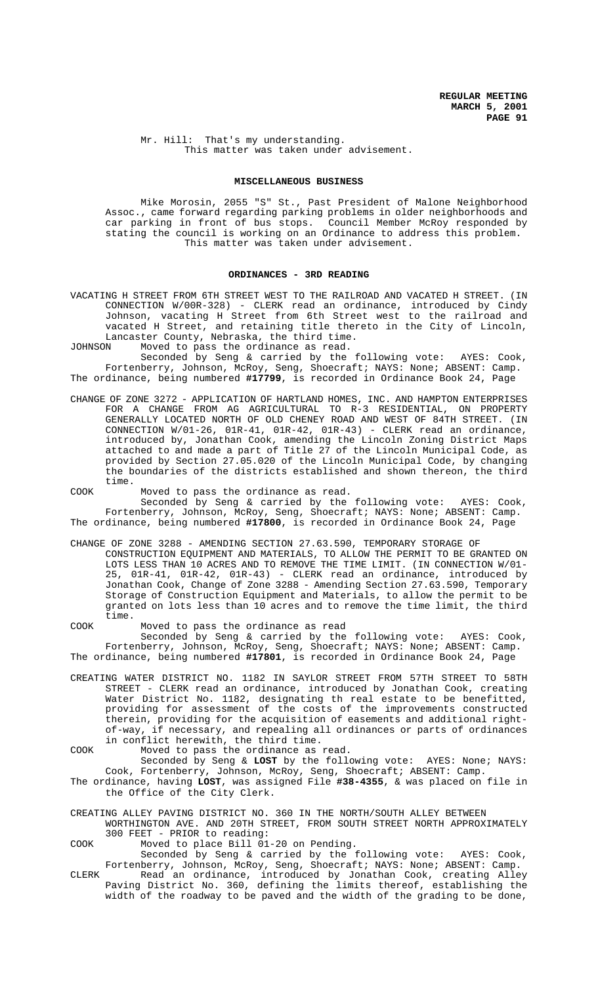Mr. Hill: That's my understanding. This matter was taken under advisement.

## **MISCELLANEOUS BUSINESS**

Mike Morosin, 2055 "S" St., Past President of Malone Neighborhood Assoc., came forward regarding parking problems in older neighborhoods and car parking in front of bus stops. Council Member McRoy responded by stating the council is working on an Ordinance to address this problem. This matter was taken under advisement.

# **ORDINANCES - 3RD READING**

VACATING H STREET FROM 6TH STREET WEST TO THE RAILROAD AND VACATED H STREET. (IN CONNECTION W/00R-328) - CLERK read an ordinance, introduced by Cindy Johnson, vacating H Street from 6th Street west to the railroad and vacated H Street, and retaining title thereto in the City of Lincoln, Lancaster County, Nebraska, the third time.

JOHNSON Moved to pass the ordinance as read.

Seconded by Seng & carried by the following vote: AYES: Cook, Fortenberry, Johnson, McRoy, Seng, Shoecraft; NAYS: None; ABSENT: Camp. The ordinance, being numbered **#17799**, is recorded in Ordinance Book 24, Page

CHANGE OF ZONE 3272 - APPLICATION OF HARTLAND HOMES, INC. AND HAMPTON ENTERPRISES FOR A CHANGE FROM AG AGRICULTURAL TO R-3 RESIDENTIAL, ON PROPERTY GENERALLY LOCATED NORTH OF OLD CHENEY ROAD AND WEST OF 84TH STREET. (IN CONNECTION  $W/01-26$ ,  $01R-41$ ,  $01R-42$ ,  $01R-43$ ) - CLERK read an ordinance, introduced by, Jonathan Cook, amending the Lincoln Zoning District Maps attached to and made a part of Title 27 of the Lincoln Municipal Code, as provided by Section 27.05.020 of the Lincoln Municipal Code, by changing the boundaries of the districts established and shown thereon, the third time.

COOK Moved to pass the ordinance as read.

Seconded by Seng & carried by the following vote: AYES: Cook, Fortenberry, Johnson, McRoy, Seng, Shoecraft; NAYS: None; ABSENT: Camp. The ordinance, being numbered **#17800**, is recorded in Ordinance Book 24, Page

CHANGE OF ZONE 3288 - AMENDING SECTION 27.63.590, TEMPORARY STORAGE OF CONSTRUCTION EQUIPMENT AND MATERIALS, TO ALLOW THE PERMIT TO BE GRANTED ON LOTS LESS THAN 10 ACRES AND TO REMOVE THE TIME LIMIT. (IN CONNECTION W/01- 25, 01R-41, 01R-42, 01R-43) - CLERK read an ordinance, introduced by Jonathan Cook, Change of Zone 3288 - Amending Section 27.63.590, Temporary Storage of Construction Equipment and Materials, to allow the permit to be granted on lots less than 10 acres and to remove the time limit, the third time.

COOK Moved to pass the ordinance as read

Seconded by Seng & carried by the following vote: AYES: Cook, Fortenberry, Johnson, McRoy, Seng, Shoecraft; NAYS: None; ABSENT: Camp. The ordinance, being numbered **#17801**, is recorded in Ordinance Book 24, Page

CREATING WATER DISTRICT NO. 1182 IN SAYLOR STREET FROM 57TH STREET TO 58TH STREET - CLERK read an ordinance, introduced by Jonathan Cook, creating Water District No. 1182, designating th real estate to be benefitted, providing for assessment of the costs of the improvements constructed therein, providing for the acquisition of easements and additional rightof-way, if necessary, and repealing all ordinances or parts of ordinances in conflict herewith, the third time.

COOK Moved to pass the ordinance as read.

Seconded by Seng & **LOST** by the following vote: AYES: None; NAYS: Cook, Fortenberry, Johnson, McRoy, Seng, Shoecraft; ABSENT: Camp.

- The ordinance, having **LOST**, was assigned File **#38-4355**, & was placed on file in the Office of the City Clerk.
- CREATING ALLEY PAVING DISTRICT NO. 360 IN THE NORTH/SOUTH ALLEY BETWEEN WORTHINGTON AVE. AND 20TH STREET, FROM SOUTH STREET NORTH APPROXIMATELY 300 FEET - PRIOR to reading:

COOK Moved to place Bill 01-20 on Pending.

Seconded by Seng & carried by the following vote: AYES: Cook, Fortenberry, Johnson, McRoy, Seng, Shoecraft; NAYS: None; ABSENT: Camp.

CLERK Read an ordinance, introduced by Jonathan Cook, creating Alley Paving District No. 360, defining the limits thereof, establishing the width of the roadway to be paved and the width of the grading to be done,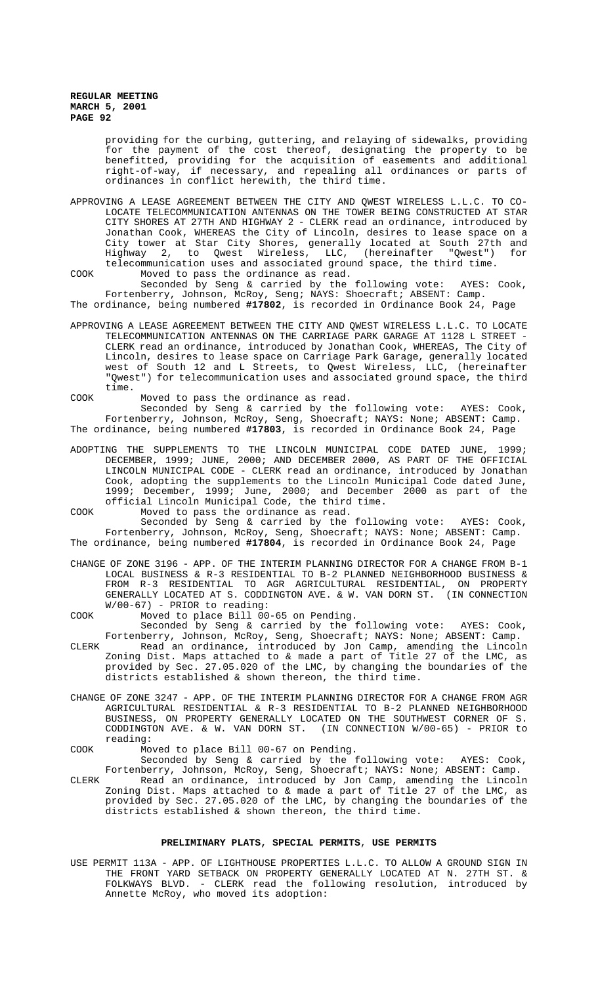> providing for the curbing, guttering, and relaying of sidewalks, providing for the payment of the cost thereof, designating the property to be benefitted, providing for the acquisition of easements and additional right-of-way, if necessary, and repealing all ordinances or parts of ordinances in conflict herewith, the third time.

APPROVING A LEASE AGREEMENT BETWEEN THE CITY AND QWEST WIRELESS L.L.C. TO CO-LOCATE TELECOMMUNICATION ANTENNAS ON THE TOWER BEING CONSTRUCTED AT STAR CITY SHORES AT 27TH AND HIGHWAY 2 - CLERK read an ordinance, introduced by Jonathan Cook, WHEREAS the City of Lincoln, desires to lease space on a City tower at Star City Shores, generally located at South 27th and Highway 2, to Qwest Wireless, LLC, (hereinafter "Qwest") for telecommunication uses and associated ground space, the third time. COOK Moved to pass the ordinance as read.

Seconded by Seng & carried by the following vote: AYES: Cook, Fortenberry, Johnson, McRoy, Seng; NAYS: Shoecraft; ABSENT: Camp.

The ordinance, being numbered **#17802**, is recorded in Ordinance Book 24, Page

APPROVING A LEASE AGREEMENT BETWEEN THE CITY AND QWEST WIRELESS L.L.C. TO LOCATE TELECOMMUNICATION ANTENNAS ON THE CARRIAGE PARK GARAGE AT 1128 L STREET - CLERK read an ordinance, introduced by Jonathan Cook, WHEREAS, The City of Lincoln, desires to lease space on Carriage Park Garage, generally located west of South 12 and L Streets, to Qwest Wireless, LLC, (hereinafter "Qwest") for telecommunication uses and associated ground space, the third time.

COOK Moved to pass the ordinance as read.

Seconded by Seng & carried by the following vote: AYES: Cook, Fortenberry, Johnson, McRoy, Seng, Shoecraft; NAYS: None; ABSENT: Camp. The ordinance, being numbered **#17803**, is recorded in Ordinance Book 24, Page

ADOPTING THE SUPPLEMENTS TO THE LINCOLN MUNICIPAL CODE DATED JUNE, 1999; DECEMBER, 1999; JUNE, 2000; AND DECEMBER 2000, AS PART OF THE OFFICIAL LINCOLN MUNICIPAL CODE - CLERK read an ordinance, introduced by Jonathan Cook, adopting the supplements to the Lincoln Municipal Code dated June, 1999; December, 1999; June, 2000; and December 2000 as part of the official Lincoln Municipal Code, the third time.

COOK Moved to pass the ordinance as read.

Seconded by Seng & carried by the following vote: AYES: Cook, Fortenberry, Johnson, McRoy, Seng, Shoecraft; NAYS: None; ABSENT: Camp. The ordinance, being numbered **#17804**, is recorded in Ordinance Book 24, Page

CHANGE OF ZONE 3196 - APP. OF THE INTERIM PLANNING DIRECTOR FOR A CHANGE FROM B-1 LOCAL BUSINESS & R-3 RESIDENTIAL TO B-2 PLANNED NEIGHBORHOOD BUSINESS & FROM R-3 RESIDENTIAL TO AGR AGRICULTURAL RESIDENTIAL, ON PROPERTY GENERALLY LOCATED AT S. CODDINGTON AVE. & W. VAN DORN ST. (IN CONNECTION W/00-67) - PRIOR to reading:

COOK Moved to place Bill 00-65 on Pending.

- Seconded by Seng & carried by the following vote: AYES: Cook, Fortenberry, Johnson, McRoy, Seng, Shoecraft; NAYS: None; ABSENT: Camp. CLERK Read an ordinance, introduced by Jon Camp, amending the Lincoln Zoning Dist. Maps attached to & made a part of Title 27 of the LMC, as provided by Sec. 27.05.020 of the LMC, by changing the boundaries of the districts established & shown thereon, the third time.
- CHANGE OF ZONE 3247 APP. OF THE INTERIM PLANNING DIRECTOR FOR A CHANGE FROM AGR AGRICULTURAL RESIDENTIAL & R-3 RESIDENTIAL TO B-2 PLANNED NEIGHBORHOOD BUSINESS, ON PROPERTY GENERALLY LOCATED ON THE SOUTHWEST CORNER OF S.<br>CODDINGTON AVE. & W. VAN DORN ST. (IN CONNECTION W/00-65) - PRIOR to CODDINGTON AVE. &  $W$ . VAN DORN ST. reading:
- COOK Moved to place Bill 00-67 on Pending.

Seconded by Seng & carried by the following vote: AYES: Cook, Fortenberry, Johnson, McRoy, Seng, Shoecraft; NAYS: None; ABSENT: Camp.

CLERK Read an ordinance, introduced by Jon Camp, amending the Lincoln Zoning Dist. Maps attached to & made a part of Title 27 of the LMC, as provided by Sec. 27.05.020 of the LMC, by changing the boundaries of the districts established & shown thereon, the third time.

# **PRELIMINARY PLATS, SPECIAL PERMITS**, **USE PERMITS**

USE PERMIT 113A - APP. OF LIGHTHOUSE PROPERTIES L.L.C. TO ALLOW A GROUND SIGN IN THE FRONT YARD SETBACK ON PROPERTY GENERALLY LOCATED AT N. 27TH ST. & FOLKWAYS BLVD. - CLERK read the following resolution, introduced by Annette McRoy, who moved its adoption: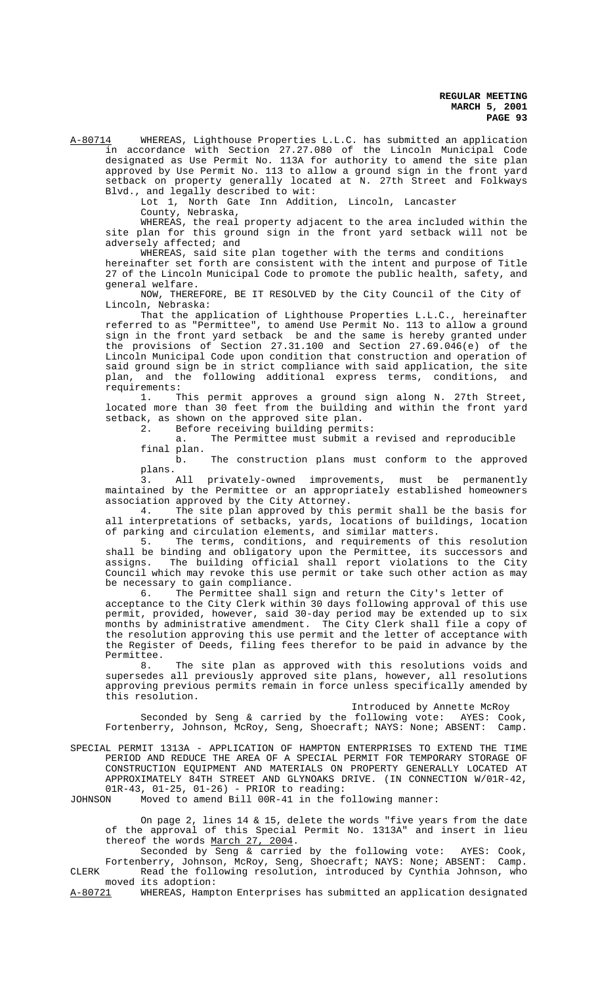A-80714 WHEREAS, Lighthouse Properties L.L.C. has submitted an application in accordance with Section 27.27.080 of the Lincoln Municipal Code designated as Use Permit No. 113A for authority to amend the site plan approved by Use Permit No. 113 to allow a ground sign in the front yard setback on property generally located at N. 27th Street and Folkways Blvd., and legally described to wit:

Lot 1, North Gate Inn Addition, Lincoln, Lancaster

County, Nebraska,

WHEREAS, the real property adjacent to the area included within the site plan for this ground sign in the front yard setback will not be adversely affected; and

WHEREAS, said site plan together with the terms and conditions hereinafter set forth are consistent with the intent and purpose of Title 27 of the Lincoln Municipal Code to promote the public health, safety, and general welfare.

NOW, THEREFORE, BE IT RESOLVED by the City Council of the City of Lincoln, Nebraska:

That the application of Lighthouse Properties L.L.C., hereinafter referred to as "Permittee", to amend Use Permit No. 113 to allow a ground sign in the front yard setback be and the same is hereby granted under the provisions of Section 27.31.100 and Section 27.69.046(e) of the Lincoln Municipal Code upon condition that construction and operation of said ground sign be in strict compliance with said application, the site plan, and the following additional express terms, conditions, and requirements:

1. This permit approves a ground sign along N. 27th Street, located more than 30 feet from the building and within the front yard setback, as shown on the approved site plan.

2. Before receiving building permits:

a. The Permittee must submit a revised and reproducible

final plan.

b. The construction plans must conform to the approved plans.

3. All privately-owned improvements, must be permanently maintained by the Permittee or an appropriately established homeowners association approved by the City Attorney.

4. The site plan approved by this permit shall be the basis for all interpretations of setbacks, yards, locations of buildings, location of parking and circulation elements, and similar matters.<br>5. The terms, conditions, and requirements of

The terms, conditions, and requirements of this resolution shall be binding and obligatory upon the Permittee, its successors and assigns. The building official shall report violations to the City Council which may revoke this use permit or take such other action as may be necessary to gain compliance.

6. The Permittee shall sign and return the City's letter of

acceptance to the City Clerk within 30 days following approval of this use permit, provided, however, said 30-day period may be extended up to six months by administrative amendment. The City Clerk shall file a copy of the resolution approving this use permit and the letter of acceptance with the Register of Deeds, filing fees therefor to be paid in advance by the Permittee.<br>8.

The site plan as approved with this resolutions voids and supersedes all previously approved site plans, however, all resolutions approving previous permits remain in force unless specifically amended by this resolution.

Introduced by Annette McRoy

Seconded by Seng & carried by the following vote: AYES: Cook, Fortenberry, Johnson, McRoy, Seng, Shoecraft; NAYS: None; ABSENT: Camp.

SPECIAL PERMIT 1313A - APPLICATION OF HAMPTON ENTERPRISES TO EXTEND THE TIME PERIOD AND REDUCE THE AREA OF A SPECIAL PERMIT FOR TEMPORARY STORAGE OF CONSTRUCTION EQUIPMENT AND MATERIALS ON PROPERTY GENERALLY LOCATED AT APPROXIMATELY 84TH STREET AND GLYNOAKS DRIVE. (IN CONNECTION W/01R-42,  $01R-43$ ,  $01-25$ ,  $01-26$ ) - PRIOR to reading:<br>JOHNSON Moved to amend Bill  $00R-41$  in the f

Moved to amend Bill 00R-41 in the following manner:

On page 2, lines 14 & 15, delete the words "five years from the date of the approval of this Special Permit No. 1313A" and insert in lieu thereof the words March 27, 2004.

Seconded by Seng & carried by the following vote: AYES: Cook, Fortenberry, Johnson, McRoy, Seng, Shoecraft; NAYS: None; ABSENT: Camp. CLERK Read the following resolution, introduced by Cynthia Johnson, who

moved its adoption:<br>A-80721 WHEREAS, Hampt WHEREAS, Hampton Enterprises has submitted an application designated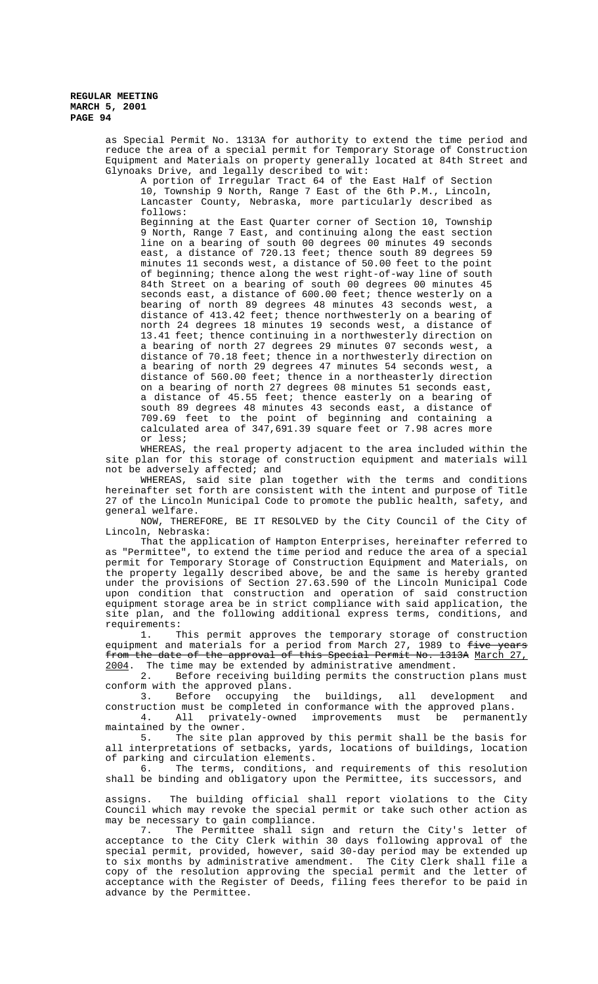> as Special Permit No. 1313A for authority to extend the time period and reduce the area of a special permit for Temporary Storage of Construction Equipment and Materials on property generally located at 84th Street and Glynoaks Drive, and legally described to wit:

A portion of Irregular Tract 64 of the East Half of Section 10, Township 9 North, Range 7 East of the 6th P.M., Lincoln, Lancaster County, Nebraska, more particularly described as follows:

Beginning at the East Quarter corner of Section 10, Township 9 North, Range 7 East, and continuing along the east section line on a bearing of south 00 degrees 00 minutes 49 seconds east, a distance of 720.13 feet; thence south 89 degrees 59 minutes 11 seconds west, a distance of 50.00 feet to the point of beginning; thence along the west right-of-way line of south 84th Street on a bearing of south 00 degrees 00 minutes 45 seconds east, a distance of 600.00 feet; thence westerly on a bearing of north 89 degrees 48 minutes 43 seconds west, a distance of 413.42 feet; thence northwesterly on a bearing of north 24 degrees 18 minutes 19 seconds west, a distance of 13.41 feet; thence continuing in a northwesterly direction on a bearing of north 27 degrees 29 minutes 07 seconds west, a distance of 70.18 feet; thence in a northwesterly direction on a bearing of north 29 degrees 47 minutes 54 seconds west, a distance of 560.00 feet; thence in a northeasterly direction on a bearing of north 27 degrees 08 minutes 51 seconds east, a distance of 45.55 feet; thence easterly on a bearing of south 89 degrees 48 minutes 43 seconds east, a distance of 709.69 feet to the point of beginning and containing a calculated area of 347,691.39 square feet or 7.98 acres more or less;

WHEREAS, the real property adjacent to the area included within the site plan for this storage of construction equipment and materials will not be adversely affected; and

WHEREAS, said site plan together with the terms and conditions hereinafter set forth are consistent with the intent and purpose of Title 27 of the Lincoln Municipal Code to promote the public health, safety, and general welfare.

NOW, THEREFORE, BE IT RESOLVED by the City Council of the City of Lincoln, Nebraska:

That the application of Hampton Enterprises, hereinafter referred to as "Permittee", to extend the time period and reduce the area of a special permit for Temporary Storage of Construction Equipment and Materials, on the property legally described above, be and the same is hereby granted under the provisions of Section 27.63.590 of the Lincoln Municipal Code upon condition that construction and operation of said construction equipment storage area be in strict compliance with said application, the site plan, and the following additional express terms, conditions, and requirements:

1. This permit approves the temporary storage of construction equipment and materials for a period from March 27, 1989 to five years from the date of the approval of this Special Permit No. 1313A March 27, 2004. The time may be extended by administrative amendment.<br>2. Before receiving building permits the construction

Before receiving building permits the construction plans must conform with the approved plans.

3. Before occupying the buildings, all development and construction must be completed in conformance with the approved plans. 4. All privately-owned improvements must be permanently

maintained by the owner. 5. The site plan approved by this permit shall be the basis for all interpretations of setbacks, yards, locations of buildings, location of parking and circulation elements.

6. The terms, conditions, and requirements of this resolution shall be binding and obligatory upon the Permittee, its successors, and

assigns. The building official shall report violations to the City Council which may revoke the special permit or take such other action as may be necessary to gain compliance.

7. The Permittee shall sign and return the City's letter of acceptance to the City Clerk within 30 days following approval of the special permit, provided, however, said 30-day period may be extended up to six months by administrative amendment. The City Clerk shall file a copy of the resolution approving the special permit and the letter of acceptance with the Register of Deeds, filing fees therefor to be paid in advance by the Permittee.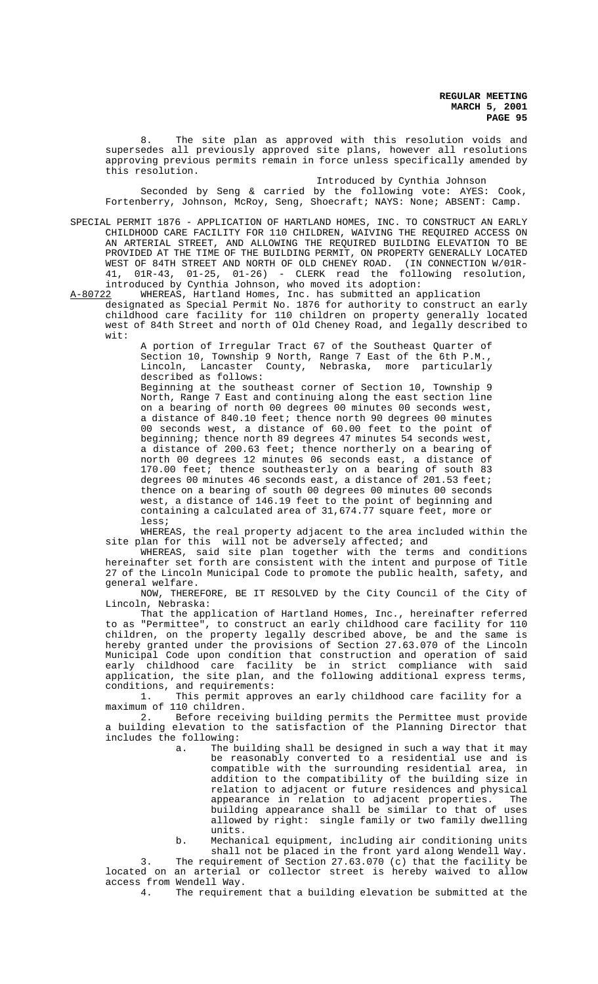8. The site plan as approved with this resolution voids and supersedes all previously approved site plans, however all resolutions approving previous permits remain in force unless specifically amended by this resolution.

Introduced by Cynthia Johnson

Seconded by Seng & carried by the following vote: AYES: Cook, Fortenberry, Johnson, McRoy, Seng, Shoecraft; NAYS: None; ABSENT: Camp.

SPECIAL PERMIT 1876 - APPLICATION OF HARTLAND HOMES, INC. TO CONSTRUCT AN EARLY CHILDHOOD CARE FACILITY FOR 110 CHILDREN, WAIVING THE REQUIRED ACCESS ON AN ARTERIAL STREET, AND ALLOWING THE REQUIRED BUILDING ELEVATION TO BE PROVIDED AT THE TIME OF THE BUILDING PERMIT, ON PROPERTY GENERALLY LOCATED WEST OF 84TH STREET AND NORTH OF OLD CHENEY ROAD. (IN CONNECTION W/01R-41, 01R-43, 01-25, 01-26) - CLERK read the following resolution, introduced by Cynthia Johnson, who moved its adoption:<br>A-80722 WHEREAS, Hartland Homes, Inc. has submitted an a

WHEREAS, Hartland Homes, Inc. has submitted an application designated as Special Permit No. 1876 for authority to construct an early

childhood care facility for 110 children on property generally located west of 84th Street and north of Old Cheney Road, and legally described to wit:

A portion of Irregular Tract 67 of the Southeast Quarter of Section 10, Township 9 North, Range 7 East of the 6th P.M.,<br>Lincoln, Lancaster County, Nebraska, more particularly Lincoln, Lancaster County, Nebraska, more particularly described as follows:

Beginning at the southeast corner of Section 10, Township 9 North, Range 7 East and continuing along the east section line on a bearing of north 00 degrees 00 minutes 00 seconds west, a distance of 840.10 feet; thence north 90 degrees 00 minutes 00 seconds west, a distance of 60.00 feet to the point of beginning; thence north 89 degrees 47 minutes 54 seconds west, a distance of 200.63 feet; thence northerly on a bearing of north 00 degrees 12 minutes 06 seconds east, a distance of 170.00 feet; thence southeasterly on a bearing of south 83 degrees 00 minutes 46 seconds east, a distance of 201.53 feet; thence on a bearing of south 00 degrees 00 minutes 00 seconds west, a distance of 146.19 feet to the point of beginning and containing a calculated area of 31,674.77 square feet, more or less;

WHEREAS, the real property adjacent to the area included within the site plan for this will not be adversely affected; and

WHEREAS, said site plan together with the terms and conditions hereinafter set forth are consistent with the intent and purpose of Title 27 of the Lincoln Municipal Code to promote the public health, safety, and general welfare.

NOW, THEREFORE, BE IT RESOLVED by the City Council of the City of Lincoln, Nebraska:

That the application of Hartland Homes, Inc., hereinafter referred to as "Permittee", to construct an early childhood care facility for 110 children, on the property legally described above, be and the same is hereby granted under the provisions of Section 27.63.070 of the Lincoln Municipal Code upon condition that construction and operation of said early childhood care facility be in strict compliance with said application, the site plan, and the following additional express terms, conditions, and requirements:<br>1. This permit appro-

This permit approves an early childhood care facility for a maximum of 110 children.

2. Before receiving building permits the Permittee must provide a building elevation to the satisfaction of the Planning Director that includes the following:

- a. The building shall be designed in such a way that it may be reasonably converted to a residential use and is compatible with the surrounding residential area, in addition to the compatibility of the building size in relation to adjacent or future residences and physical appearance in relation to adjacent properties. The building appearance shall be similar to that of uses allowed by right: single family or two family dwelling units.
- b. Mechanical equipment, including air conditioning units shall not be placed in the front yard along Wendell Way.

3. The requirement of Section 27.63.070 (c) that the facility be located on an arterial or collector street is hereby waived to allow access from Wendell Way.<br>4. The requirem

The requirement that a building elevation be submitted at the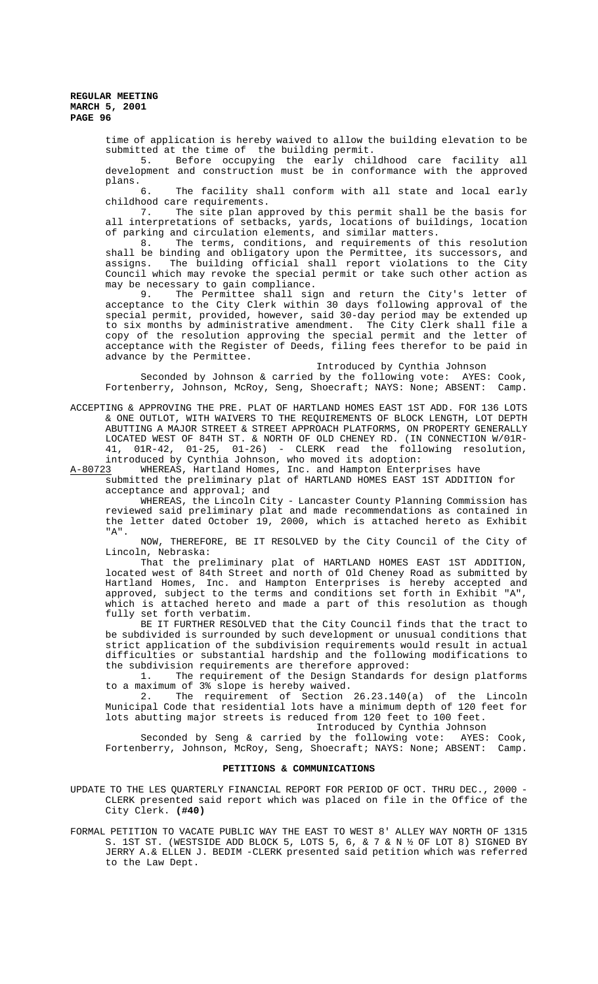> time of application is hereby waived to allow the building elevation to be submitted at the time of the building permit.

> 5. Before occupying the early childhood care facility all development and construction must be in conformance with the approved plans.<br>6.

> The facility shall conform with all state and local early

childhood care requirements.<br>7. The site plan ap The site plan approved by this permit shall be the basis for all interpretations of setbacks, yards, locations of buildings, location of parking and circulation elements, and similar matters.<br>8. The terms, conditions, and requirements of

The terms, conditions, and requirements of this resolution shall be binding and obligatory upon the Permittee, its successors, and assigns. The building official shall report violations to the City Council which may revoke the special permit or take such other action as may be necessary to gain compliance.

9. The Permittee shall sign and return the City's letter of acceptance to the City Clerk within 30 days following approval of the special permit, provided, however, said 30-day period may be extended up to six months by administrative amendment. The City Clerk shall file a copy of the resolution approving the special permit and the letter of acceptance with the Register of Deeds, filing fees therefor to be paid in advance by the Permittee.

Introduced by Cynthia Johnson

Seconded by Johnson & carried by the following vote: AYES: Cook, Fortenberry, Johnson, McRoy, Seng, Shoecraft; NAYS: None; ABSENT: Camp.

ACCEPTING & APPROVING THE PRE. PLAT OF HARTLAND HOMES EAST 1ST ADD. FOR 136 LOTS & ONE OUTLOT, WITH WAIVERS TO THE REQUIREMENTS OF BLOCK LENGTH, LOT DEPTH ABUTTING A MAJOR STREET & STREET APPROACH PLATFORMS, ON PROPERTY GENERALLY LOCATED WEST OF 84TH ST. & NORTH OF OLD CHENEY RD. (IN CONNECTION W/01R-41, 01R-42, 01-25, 01-26) - CLERK read the following resolution, introduced by Cynthia Johnson, who moved its adoption:

A-80723 WHEREAS, Hartland Homes, Inc. and Hampton Enterprises have

submitted the preliminary plat of HARTLAND HOMES EAST 1ST ADDITION for acceptance and approval; and

WHEREAS, the Lincoln City - Lancaster County Planning Commission has reviewed said preliminary plat and made recommendations as contained in the letter dated October 19, 2000, which is attached hereto as Exhibit "A".

NOW, THEREFORE, BE IT RESOLVED by the City Council of the City of Lincoln, Nebraska:

That the preliminary plat of HARTLAND HOMES EAST 1ST ADDITION, located west of 84th Street and north of Old Cheney Road as submitted by Hartland Homes, Inc. and Hampton Enterprises is hereby accepted and approved, subject to the terms and conditions set forth in Exhibit "A", which is attached hereto and made a part of this resolution as though fully set forth verbatim.

BE IT FURTHER RESOLVED that the City Council finds that the tract to be subdivided is surrounded by such development or unusual conditions that strict application of the subdivision requirements would result in actual difficulties or substantial hardship and the following modifications to the subdivision requirements are therefore approved:

1. The requirement of the Design Standards for design platforms to a maximum of 3% slope is hereby waived.

2. The requirement of Section 26.23.140(a) of the Lincoln Municipal Code that residential lots have a minimum depth of 120 feet for lots abutting major streets is reduced from 120 feet to 100 feet.

Introduced by Cynthia Johnson

Seconded by Seng & carried by the following vote: AYES: Cook, Fortenberry, Johnson, McRoy, Seng, Shoecraft; NAYS: None; ABSENT: Camp.

# **PETITIONS & COMMUNICATIONS**

UPDATE TO THE LES QUARTERLY FINANCIAL REPORT FOR PERIOD OF OCT. THRU DEC., 2000 - CLERK presented said report which was placed on file in the Office of the City Clerk. **(#40)**

FORMAL PETITION TO VACATE PUBLIC WAY THE EAST TO WEST 8' ALLEY WAY NORTH OF 1315 S. 1ST ST. (WESTSIDE ADD BLOCK 5, LOTS 5, 6, & 7 & N ½ OF LOT 8) SIGNED BY JERRY A.& ELLEN J. BEDIM -CLERK presented said petition which was referred to the Law Dept.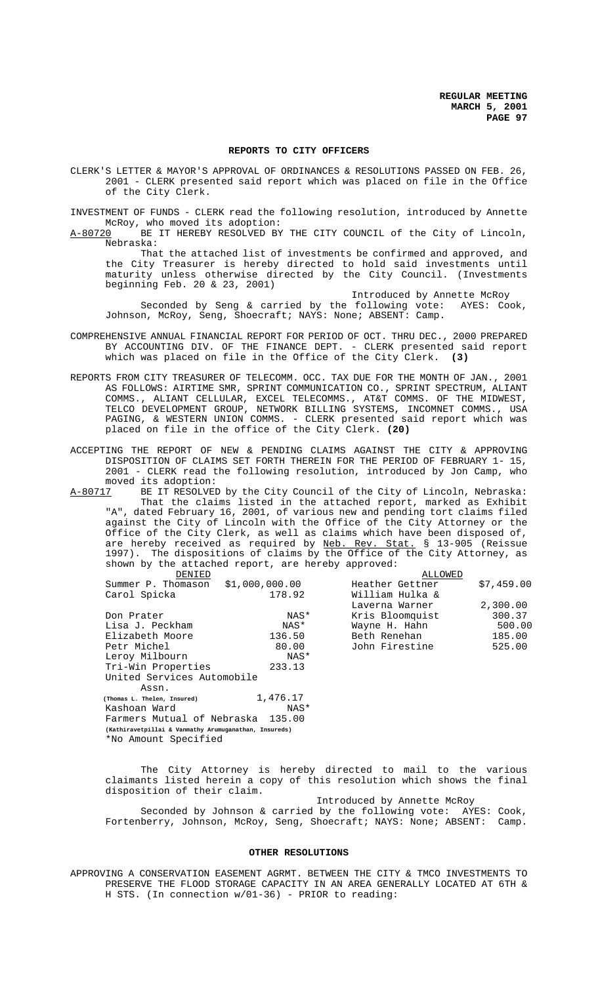#### **REPORTS TO CITY OFFICERS**

CLERK'S LETTER & MAYOR'S APPROVAL OF ORDINANCES & RESOLUTIONS PASSED ON FEB. 26, 2001 - CLERK presented said report which was placed on file in the Office of the City Clerk.

INVESTMENT OF FUNDS - CLERK read the following resolution, introduced by Annette McRoy, who moved its adoption:

A-80720 BE IT HEREBY RESOLVED BY THE CITY COUNCIL of the City of Lincoln, Nebraska:

That the attached list of investments be confirmed and approved, and the City Treasurer is hereby directed to hold said investments until maturity unless otherwise directed by the City Council. (Investments beginning Feb. 20 & 23, 2001)

Introduced by Annette McRoy

Seconded by Seng & carried by the following vote: AYES: Cook, Johnson, McRoy, Seng, Shoecraft; NAYS: None; ABSENT: Camp.

- COMPREHENSIVE ANNUAL FINANCIAL REPORT FOR PERIOD OF OCT. THRU DEC., 2000 PREPARED BY ACCOUNTING DIV. OF THE FINANCE DEPT. - CLERK presented said report which was placed on file in the Office of the City Clerk. **(3)**
- REPORTS FROM CITY TREASURER OF TELECOMM. OCC. TAX DUE FOR THE MONTH OF JAN., 2001 AS FOLLOWS: AIRTIME SMR, SPRINT COMMUNICATION CO., SPRINT SPECTRUM, ALIANT COMMS., ALIANT CELLULAR, EXCEL TELECOMMS., AT&T COMMS. OF THE MIDWEST, TELCO DEVELOPMENT GROUP, NETWORK BILLING SYSTEMS, INCOMNET COMMS., USA PAGING, & WESTERN UNION COMMS. - CLERK presented said report which was placed on file in the office of the City Clerk. **(20)**
- ACCEPTING THE REPORT OF NEW & PENDING CLAIMS AGAINST THE CITY & APPROVING DISPOSITION OF CLAIMS SET FORTH THEREIN FOR THE PERIOD OF FEBRUARY 1- 15, 2001 - CLERK read the following resolution, introduced by Jon Camp, who moved its adoption:<br>A-80717 BE IT RESOLVED
- BE IT RESOLVED by the City Council of the City of Lincoln, Nebraska: That the claims listed in the attached report, marked as Exhibit "A", dated February 16, 2001, of various new and pending tort claims filed against the City of Lincoln with the Office of the City Attorney or the Office of the City Clerk, as well as claims which have been disposed of, are hereby received as required by <u>Neb. Rev. Stat.</u> § 13-905 (Reissue 1997). The dispositions of claims by the Office of the City Attorney, as shown by the attached report, are hereby approved:

| DENIED                                                |                | ALLOWED         |            |
|-------------------------------------------------------|----------------|-----------------|------------|
| Summer P. Thomason                                    | \$1,000,000.00 | Heather Gettner | \$7,459.00 |
| Carol Spicka                                          | 178.92         | William Hulka & |            |
|                                                       |                | Laverna Warner  | 2,300.00   |
| Don Prater                                            | NAS*           | Kris Bloomquist | 300.37     |
| Lisa J. Peckham                                       | NAS*           | Wayne H. Hahn   | 500.00     |
| Elizabeth Moore                                       | 136.50         | Beth Renehan    | 185.00     |
| Petr Michel                                           | 80.00          | John Firestine  | 525.00     |
| Leroy Milbourn                                        | NAS*           |                 |            |
| Tri-Win Properties                                    | 233.13         |                 |            |
| United Services Automobile                            |                |                 |            |
| Assn.                                                 |                |                 |            |
| (Thomas L. Thelen, Insured)                           | 1,476.17       |                 |            |
| Kashoan Ward                                          | NAS*           |                 |            |
| Farmers Mutual of Nebraska<br>135.00                  |                |                 |            |
| (Kathiravetpillai & Vanmathy Arumuganathan, Insureds) |                |                 |            |
| *No Amount Specified                                  |                |                 |            |

The City Attorney is hereby directed to mail to the various claimants listed herein a copy of this resolution which shows the final disposition of their claim.

Introduced by Annette McRoy

Seconded by Johnson & carried by the following vote: AYES: Cook, Fortenberry, Johnson, McRoy, Seng, Shoecraft; NAYS: None; ABSENT: Camp.

#### **OTHER RESOLUTIONS**

APPROVING A CONSERVATION EASEMENT AGRMT. BETWEEN THE CITY & TMCO INVESTMENTS TO PRESERVE THE FLOOD STORAGE CAPACITY IN AN AREA GENERALLY LOCATED AT 6TH & H STS. (In connection w/01-36) - PRIOR to reading: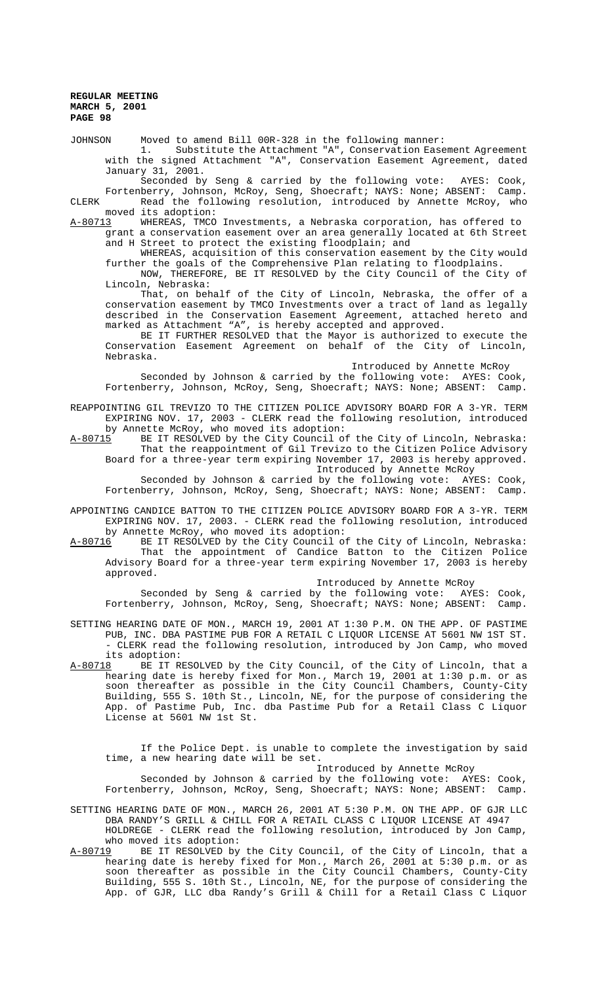JOHNSON Moved to amend Bill 00R-328 in the following manner:

Substitute the Attachment "A", Conservation Easement Agreement with the signed Attachment "A", Conservation Easement Agreement, dated January 31, 2001.

Seconded by Seng & carried by the following vote: AYES: Cook, Fortenberry, Johnson, McRoy, Seng, Shoecraft; NAYS: None; ABSENT: Camp.

CLERK Read the following resolution, introduced by Annette McRoy, who moved its adoption:

A-80713 WHEREAS, TMCO Investments, a Nebraska corporation, has offered to grant a conservation easement over an area generally located at 6th Street and H Street to protect the existing floodplain; and

WHEREAS, acquisition of this conservation easement by the City would further the goals of the Comprehensive Plan relating to floodplains.

NOW, THEREFORE, BE IT RESOLVED by the City Council of the City of Lincoln, Nebraska:

That, on behalf of the City of Lincoln, Nebraska, the offer of a conservation easement by TMCO Investments over a tract of land as legally described in the Conservation Easement Agreement, attached hereto and marked as Attachment "A", is hereby accepted and approved.

BE IT FURTHER RESOLVED that the Mayor is authorized to execute the Conservation Easement Agreement on behalf of the City of Lincoln, Nebraska.

Introduced by Annette McRoy

Seconded by Johnson & carried by the following vote: AYES: Cook, Fortenberry, Johnson, McRoy, Seng, Shoecraft; NAYS: None; ABSENT: Camp.

REAPPOINTING GIL TREVIZO TO THE CITIZEN POLICE ADVISORY BOARD FOR A 3-YR. TERM EXPIRING NOV. 17, 2003 - CLERK read the following resolution, introduced by Annette McRoy, who moved its adoption:

A-80715 BE IT RESOLVED by the City Council of the City of Lincoln, Nebraska: That the reappointment of Gil Trevizo to the Citizen Police Advisory Board for a three-year term expiring November 17, 2003 is hereby approved. Introduced by Annette McRoy

Seconded by Johnson & carried by the following vote: AYES: Cook, Fortenberry, Johnson, McRoy, Seng, Shoecraft; NAYS: None; ABSENT: Camp.

APPOINTING CANDICE BATTON TO THE CITIZEN POLICE ADVISORY BOARD FOR A 3-YR. TERM EXPIRING NOV. 17, 2003. - CLERK read the following resolution, introduced

by Annette McRoy, who moved its adoption:<br>A-80716 BE IT RESOLVED by the City Council o BE IT RESOLVED by the City Council of the City of Lincoln, Nebraska: That the appointment of Candice Batton to the Citizen Police Advisory Board for a three-year term expiring November 17, 2003 is hereby approved.

Introduced by Annette McRoy

Seconded by Seng & carried by the following vote: AYES: Cook, Fortenberry, Johnson, McRoy, Seng, Shoecraft; NAYS: None; ABSENT: Camp.

SETTING HEARING DATE OF MON., MARCH 19, 2001 AT 1:30 P.M. ON THE APP. OF PASTIME PUB, INC. DBA PASTIME PUB FOR A RETAIL C LIQUOR LICENSE AT 5601 NW 1ST ST. - CLERK read the following resolution, introduced by Jon Camp, who moved its adoption:<br>A-80718 BE IT R

BE IT RESOLVED by the City Council, of the City of Lincoln, that a hearing date is hereby fixed for Mon., March 19, 2001 at 1:30 p.m. or as soon thereafter as possible in the City Council Chambers, County-City Building, 555 S. 10th St., Lincoln, NE, for the purpose of considering the App. of Pastime Pub, Inc. dba Pastime Pub for a Retail Class C Liquor License at 5601 NW 1st St.

If the Police Dept. is unable to complete the investigation by said time, a new hearing date will be set.

Introduced by Annette McRoy

Seconded by Johnson & carried by the following vote: AYES: Cook, Fortenberry, Johnson, McRoy, Seng, Shoecraft; NAYS: None; ABSENT: Camp.

SETTING HEARING DATE OF MON., MARCH 26, 2001 AT 5:30 P.M. ON THE APP. OF GJR LLC DBA RANDY'S GRILL & CHILL FOR A RETAIL CLASS C LIQUOR LICENSE AT 4947 HOLDREGE - CLERK read the following resolution, introduced by Jon Camp, who moved its adoption:

A-80719 BE IT RESOLVED by the City Council, of the City of Lincoln, that a hearing date is hereby fixed for Mon., March 26, 2001 at 5:30 p.m. or as soon thereafter as possible in the City Council Chambers, County-City Building, 555 S. 10th St., Lincoln, NE, for the purpose of considering the App. of GJR, LLC dba Randy's Grill & Chill for a Retail Class C Liquor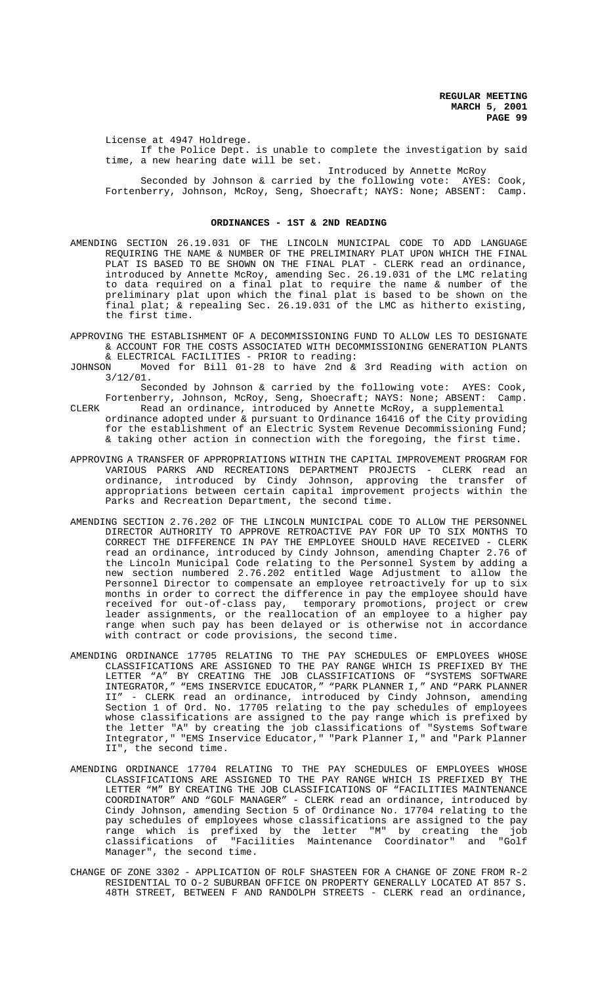License at 4947 Holdrege. If the Police Dept. is unable to complete the investigation by said time, a new hearing date will be set.

Introduced by Annette McRoy

Seconded by Johnson & carried by the following vote: AYES: Cook, Fortenberry, Johnson, McRoy, Seng, Shoecraft; NAYS: None; ABSENT: Camp.

## **ORDINANCES - 1ST & 2ND READING**

- AMENDING SECTION 26.19.031 OF THE LINCOLN MUNICIPAL CODE TO ADD LANGUAGE REQUIRING THE NAME & NUMBER OF THE PRELIMINARY PLAT UPON WHICH THE FINAL PLAT IS BASED TO BE SHOWN ON THE FINAL PLAT - CLERK read an ordinance, introduced by Annette McRoy, amending Sec. 26.19.031 of the LMC relating to data required on a final plat to require the name & number of the preliminary plat upon which the final plat is based to be shown on the final plat; & repealing Sec. 26.19.031 of the LMC as hitherto existing, the first time.
- APPROVING THE ESTABLISHMENT OF A DECOMMISSIONING FUND TO ALLOW LES TO DESIGNATE & ACCOUNT FOR THE COSTS ASSOCIATED WITH DECOMMISSIONING GENERATION PLANTS & ELECTRICAL FACILITIES - PRIOR to reading:
- JOHNSON Moved for Bill 01-28 to have 2nd & 3rd Reading with action on 3/12/01.

Seconded by Johnson & carried by the following vote: AYES: Cook, Fortenberry, Johnson, McRoy, Seng, Shoecraft; NAYS: None; ABSENT: Camp.

- CLERK Read an ordinance, introduced by Annette McRoy, a supplemental ordinance adopted under & pursuant to Ordinance 16416 of the City providing for the establishment of an Electric System Revenue Decommissioning Fund; & taking other action in connection with the foregoing, the first time.
- APPROVING A TRANSFER OF APPROPRIATIONS WITHIN THE CAPITAL IMPROVEMENT PROGRAM FOR VARIOUS PARKS AND RECREATIONS DEPARTMENT PROJECTS - CLERK read an ordinance, introduced by Cindy Johnson, approving the transfer of appropriations between certain capital improvement projects within the Parks and Recreation Department, the second time.
- AMENDING SECTION 2.76.202 OF THE LINCOLN MUNICIPAL CODE TO ALLOW THE PERSONNEL DIRECTOR AUTHORITY TO APPROVE RETROACTIVE PAY FOR UP TO SIX MONTHS TO CORRECT THE DIFFERENCE IN PAY THE EMPLOYEE SHOULD HAVE RECEIVED - CLERK read an ordinance, introduced by Cindy Johnson, amending Chapter 2.76 of the Lincoln Municipal Code relating to the Personnel System by adding a new section numbered 2.76.202 entitled Wage Adjustment to allow the Personnel Director to compensate an employee retroactively for up to six months in order to correct the difference in pay the employee should have received for out-of-class pay, temporary promotions, project or crew leader assignments, or the reallocation of an employee to a higher pay range when such pay has been delayed or is otherwise not in accordance with contract or code provisions, the second time.
- AMENDING ORDINANCE 17705 RELATING TO THE PAY SCHEDULES OF EMPLOYEES WHOSE CLASSIFICATIONS ARE ASSIGNED TO THE PAY RANGE WHICH IS PREFIXED BY THE LETTER "A" BY CREATING THE JOB CLASSIFICATIONS OF "SYSTEMS SOFTWARE INTEGRATOR," "EMS INSERVICE EDUCATOR," "PARK PLANNER I," AND "PARK PLANNER II" - CLERK read an ordinance, introduced by Cindy Johnson, amending Section 1 of Ord. No. 17705 relating to the pay schedules of employees whose classifications are assigned to the pay range which is prefixed by the letter "A" by creating the job classifications of "Systems Software Integrator," "EMS Inservice Educator," "Park Planner I," and "Park Planner II", the second time.
- AMENDING ORDINANCE 17704 RELATING TO THE PAY SCHEDULES OF EMPLOYEES WHOSE CLASSIFICATIONS ARE ASSIGNED TO THE PAY RANGE WHICH IS PREFIXED BY THE LETTER "M" BY CREATING THE JOB CLASSIFICATIONS OF "FACILITIES MAINTENANCE COORDINATOR" AND "GOLF MANAGER" - CLERK read an ordinance, introduced by Cindy Johnson, amending Section 5 of Ordinance No. 17704 relating to the pay schedules of employees whose classifications are assigned to the pay range which is prefixed by the letter "M" by creating the job classifications of "Facilities Maintenance Coordinator" and "Golf Manager", the second time.
- CHANGE OF ZONE 3302 APPLICATION OF ROLF SHASTEEN FOR A CHANGE OF ZONE FROM R-2 RESIDENTIAL TO O-2 SUBURBAN OFFICE ON PROPERTY GENERALLY LOCATED AT 857 S. 48TH STREET, BETWEEN F AND RANDOLPH STREETS - CLERK read an ordinance,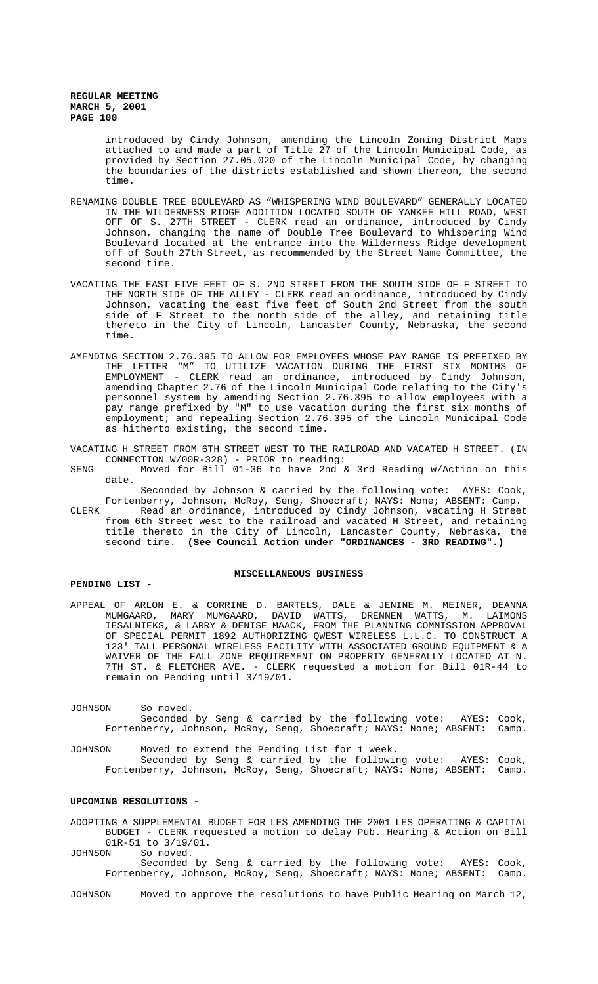> introduced by Cindy Johnson, amending the Lincoln Zoning District Maps attached to and made a part of Title 27 of the Lincoln Municipal Code, as provided by Section 27.05.020 of the Lincoln Municipal Code, by changing the boundaries of the districts established and shown thereon, the second time.

- RENAMING DOUBLE TREE BOULEVARD AS "WHISPERING WIND BOULEVARD" GENERALLY LOCATED IN THE WILDERNESS RIDGE ADDITION LOCATED SOUTH OF YANKEE HILL ROAD, WEST OFF OF S. 27TH STREET - CLERK read an ordinance, introduced by Cindy Johnson, changing the name of Double Tree Boulevard to Whispering Wind Boulevard located at the entrance into the Wilderness Ridge development off of South 27th Street, as recommended by the Street Name Committee, the second time.
- VACATING THE EAST FIVE FEET OF S. 2ND STREET FROM THE SOUTH SIDE OF F STREET TO THE NORTH SIDE OF THE ALLEY - CLERK read an ordinance, introduced by Cindy Johnson, vacating the east five feet of South 2nd Street from the south side of F Street to the north side of the alley, and retaining title thereto in the City of Lincoln, Lancaster County, Nebraska, the second time.
- AMENDING SECTION 2.76.395 TO ALLOW FOR EMPLOYEES WHOSE PAY RANGE IS PREFIXED BY THE LETTER "M" TO UTILIZE VACATION DURING THE FIRST SIX MONTHS OF EMPLOYMENT - CLERK read an ordinance, introduced by Cindy Johnson, amending Chapter 2.76 of the Lincoln Municipal Code relating to the City's personnel system by amending Section 2.76.395 to allow employees with a pay range prefixed by "M" to use vacation during the first six months of employment; and repealing Section 2.76.395 of the Lincoln Municipal Code as hitherto existing, the second time.
- VACATING H STREET FROM 6TH STREET WEST TO THE RAILROAD AND VACATED H STREET. (IN CONNECTION W/00R-328) - PRIOR to reading:
- SENG Moved for Bill 01-36 to have 2nd & 3rd Reading w/Action on this date.

Seconded by Johnson & carried by the following vote: AYES: Cook, Fortenberry, Johnson, McRoy, Seng, Shoecraft; NAYS: None; ABSENT: Camp.

CLERK Read an ordinance, introduced by Cindy Johnson, vacating H Street from 6th Street west to the railroad and vacated H Street, and retaining title thereto in the City of Lincoln, Lancaster County, Nebraska, the second time. **(See Council Action under "ORDINANCES - 3RD READING".)**

#### **MISCELLANEOUS BUSINESS**

# **PENDING LIST -**

APPEAL OF ARLON E. & CORRINE D. BARTELS, DALE & JENINE M. MEINER, DEANNA MUMGAARD, MARY MUMGAARD, DAVID WATTS, DRENNEN WATTS, M. LAIMONS IESALNIEKS, & LARRY & DENISE MAACK, FROM THE PLANNING COMMISSION APPROVAL OF SPECIAL PERMIT 1892 AUTHORIZING QWEST WIRELESS L.L.C. TO CONSTRUCT A 123' TALL PERSONAL WIRELESS FACILITY WITH ASSOCIATED GROUND EQUIPMENT & A WAIVER OF THE FALL ZONE REQUIREMENT ON PROPERTY GENERALLY LOCATED AT N. 7TH ST. & FLETCHER AVE. - CLERK requested a motion for Bill 01R-44 to remain on Pending until 3/19/01.

JOHNSON So moved. Seconded by Seng & carried by the following vote: AYES: Cook, Fortenberry, Johnson, McRoy, Seng, Shoecraft; NAYS: None; ABSENT: Camp.

JOHNSON Moved to extend the Pending List for 1 week. Seconded by Seng & carried by the following vote: AYES: Cook, Fortenberry, Johnson, McRoy, Seng, Shoecraft; NAYS: None; ABSENT: Camp.

# **UPCOMING RESOLUTIONS -**

ADOPTING A SUPPLEMENTAL BUDGET FOR LES AMENDING THE 2001 LES OPERATING & CAPITAL BUDGET - CLERK requested a motion to delay Pub. Hearing & Action on Bill  $01R-51$  to  $3/19/01$ .<br>JOHNSON So moved. So moved.

Seconded by Seng & carried by the following vote: AYES: Cook, Fortenberry, Johnson, McRoy, Seng, Shoecraft; NAYS: None; ABSENT: Camp.

JOHNSON Moved to approve the resolutions to have Public Hearing on March 12,